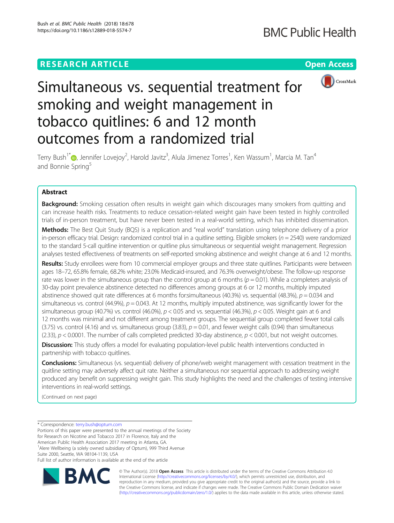

# Simultaneous vs. sequential treatment for smoking and weight management in tobacco quitlines: 6 and 12 month outcomes from a randomized trial

Terry Bush<sup>1\*</sup>�[,](http://orcid.org/0000-0001-6146-769X) Jennifer Lovejoy<sup>2</sup>, Harold Javitz<sup>3</sup>, Alula Jimenez Torres<sup>1</sup>, Ken Wassum<sup>1</sup>, Marcia M. Tan<sup>4</sup> and Bonnie Spring<sup>5</sup>

# Abstract

**Background:** Smoking cessation often results in weight gain which discourages many smokers from quitting and can increase health risks. Treatments to reduce cessation-related weight gain have been tested in highly controlled trials of in-person treatment, but have never been tested in a real-world setting, which has inhibited dissemination.

Methods: The Best Quit Study (BQS) is a replication and "real world" translation using telephone delivery of a prior in-person efficacy trial. Design: randomized control trial in a quitline setting. Eligible smokers ( $n = 2540$ ) were randomized to the standard 5-call quitline intervention or quitline plus simultaneous or sequential weight management. Regression analyses tested effectiveness of treatments on self-reported smoking abstinence and weight change at 6 and 12 months.

Results: Study enrollees were from 10 commercial employer groups and three state quitlines. Participants were between ages 18–72, 65.8% female, 68.2% white; 23.0% Medicaid-insured, and 76.3% overweight/obese. The follow-up response rate was lower in the simultaneous group than the control group at 6 months  $(p = 0.01)$ . While a completers analysis of 30-day point prevalence abstinence detected no differences among groups at 6 or 12 months, multiply imputed abstinence showed quit rate differences at 6 months for:simultaneous (40.3%) vs. sequential (48.3%),  $p = 0.034$  and simultaneous vs. control (44.9%),  $p = 0.043$ . At 12 months, multiply imputed abstinence, was significantly lower for the simultaneous group (40.7%) vs. control (46.0%),  $p < 0.05$  and vs. sequential (46.3%),  $p < 0.05$ . Weight gain at 6 and 12 months was minimal and not different among treatment groups. The sequential group completed fewer total calls (3.75) vs. control (4.16) and vs. simultaneous group (3.83),  $p = 0.01$ , and fewer weight calls (0.94) than simultaneous  $(2.33)$ ,  $p < 0.0001$ . The number of calls completed predicted 30-day abstinence,  $p < 0.001$ , but not weight outcomes.

**Discussion:** This study offers a model for evaluating population-level public health interventions conducted in partnership with tobacco quitlines.

Conclusions: Simultaneous (vs. sequential) delivery of phone/web weight management with cessation treatment in the quitline setting may adversely affect quit rate. Neither a simultaneous nor sequential approach to addressing weight produced any benefit on suppressing weight gain. This study highlights the need and the challenges of testing intensive interventions in real-world settings.

(Continued on next page)

\* Correspondence: [terry.bush@optum.com](mailto:terry.bush@optum.com) Portions of this paper were presented to the annual meetings of the Society for Research on Nicotine and Tobacco 2017 in Florence, Italy and the American Public Health Association 2017 meeting in Atlanta, GA. <sup>1</sup> Alere Wellbeing (a solely owned subsidiary of Optum), 999 Third Avenue

Suite 2000, Seattle, WA 98104-1139, USA Full list of author information is available at the end of the article



© The Author(s). 2018 Open Access This article is distributed under the terms of the Creative Commons Attribution 4.0 International License [\(http://creativecommons.org/licenses/by/4.0/](http://creativecommons.org/licenses/by/4.0/)), which permits unrestricted use, distribution, and reproduction in any medium, provided you give appropriate credit to the original author(s) and the source, provide a link to the Creative Commons license, and indicate if changes were made. The Creative Commons Public Domain Dedication waiver [\(http://creativecommons.org/publicdomain/zero/1.0/](http://creativecommons.org/publicdomain/zero/1.0/)) applies to the data made available in this article, unless otherwise stated.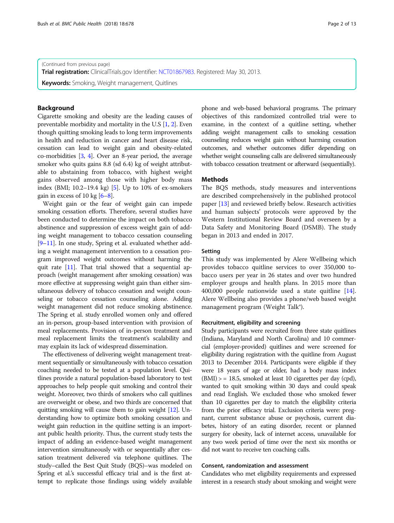(Continued from previous page)

Trial registration: ClinicalTrials.gov Identifier: [NCT01867983](http://www.ncbi.nlm.nih.gov/pubmed/27443485). Registered: May 30, 2013.

Keywords: Smoking, Weight management, Quitlines

# Background

Cigarette smoking and obesity are the leading causes of preventable morbidity and mortality in the U.S [\[1,](#page-11-0) [2](#page-11-0)]. Even though quitting smoking leads to long term improvements in health and reduction in cancer and heart disease risk, cessation can lead to weight gain and obesity-related co-morbidities [[3,](#page-11-0) [4](#page-11-0)]. Over an 8-year period, the average smoker who quits gains 8.8 (sd 6.4) kg of weight attributable to abstaining from tobacco, with highest weight gains observed among those with higher body mass index (BMI; 10.2–19.4 kg) [\[5](#page-11-0)]. Up to 10% of ex-smokers gain in excess of 10 kg  $[6-8]$  $[6-8]$  $[6-8]$  $[6-8]$ .

Weight gain or the fear of weight gain can impede smoking cessation efforts. Therefore, several studies have been conducted to determine the impact on both tobacco abstinence and suppression of excess weight gain of adding weight management to tobacco cessation counseling [[9](#page-11-0)–[11](#page-11-0)]. In one study, Spring et al. evaluated whether adding a weight management intervention to a cessation program improved weight outcomes without harming the quit rate [\[11\]](#page-11-0). That trial showed that a sequential approach (weight management after smoking cessation) was more effective at suppressing weight gain than either simultaneous delivery of tobacco cessation and weight counseling or tobacco cessation counseling alone. Adding weight management did not reduce smoking abstinence. The Spring et al. study enrolled women only and offered an in-person, group-based intervention with provision of meal replacements. Provision of in-person treatment and meal replacement limits the treatment's scalability and may explain its lack of widespread dissemination.

The effectiveness of delivering weight management treatment sequentially or simultaneously with tobacco cessation coaching needed to be tested at a population level. Quitlines provide a natural population-based laboratory to test approaches to help people quit smoking and control their weight. Moreover, two thirds of smokers who call quitlines are overweight or obese, and two thirds are concerned that quitting smoking will cause them to gain weight [[12](#page-11-0)]. Understanding how to optimize both smoking cessation and weight gain reduction in the quitline setting is an important public health priority. Thus, the current study tests the impact of adding an evidence-based weight management intervention simultaneously with or sequentially after cessation treatment delivered via telephone quitlines. The study–called the Best Quit Study (BQS)–was modeled on Spring et al.'s successful efficacy trial and is the first attempt to replicate those findings using widely available phone and web-based behavioral programs. The primary objectives of this randomized controlled trial were to examine, in the context of a quitline setting, whether adding weight management calls to smoking cessation counseling reduces weight gain without harming cessation outcomes, and whether outcomes differ depending on whether weight counseling calls are delivered simultaneously

## **Methods**

The BQS methods, study measures and interventions are described comprehensively in the published protocol paper [[13\]](#page-11-0) and reviewed briefly below. Research activities and human subjects' protocols were approved by the Western Institutional Review Board and overseen by a Data Safety and Monitoring Board (DSMB). The study began in 2013 and ended in 2017.

with tobacco cessation treatment or afterward (sequentially).

## Setting

This study was implemented by Alere Wellbeing which provides tobacco quitline services to over 350,000 tobacco users per year in 26 states and over two hundred employer groups and health plans. In 2015 more than 400,000 people nationwide used a state quitline [\[14](#page-11-0)]. Alere Wellbeing also provides a phone/web based weight management program (Weight Talk®).

## Recruitment, eligibility and screening

Study participants were recruited from three state quitlines (Indiana, Maryland and North Carolina) and 10 commercial (employer-provided) quitlines and were screened for eligibility during registration with the quitline from August 2013 to December 2014. Participants were eligible if they were 18 years of age or older, had a body mass index  $(BMI)$  > = 18.5, smoked at least 10 cigarettes per day (cpd), wanted to quit smoking within 30 days and could speak and read English. We excluded those who smoked fewer than 10 cigarettes per day to match the eligibility criteria from the prior efficacy trial. Exclusion criteria were: pregnant, current substance abuse or psychosis, current diabetes, history of an eating disorder, recent or planned surgery for obesity, lack of internet access, unavailable for any two week period of time over the next six months or did not want to receive ten coaching calls.

# Consent, randomization and assessment

Candidates who met eligibility requirements and expressed interest in a research study about smoking and weight were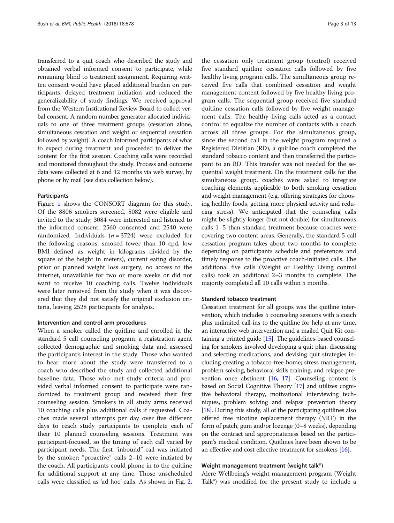transferred to a quit coach who described the study and obtained verbal informed consent to participate, while remaining blind to treatment assignment. Requiring written consent would have placed additional burden on participants, delayed treatment initiation and reduced the generalizability of study findings. We received approval from the Western Institutional Review Board to collect verbal consent. A random number generator allocated individuals to one of three treatment groups (cessation alone, simultaneous cessation and weight or sequential cessation followed by weight). A coach informed participants of what to expect during treatment and proceeded to deliver the content for the first session. Coaching calls were recorded and monitored throughout the study. Process and outcome data were collected at 6 and 12 months via web survey, by phone or by mail (see data collection below).

#### Participants

Figure [1](#page-3-0) shows the CONSORT diagram for this study. Of the 8806 smokers screened, 5082 were eligible and invited to the study; 3084 were interested and listened to the informed consent; 2560 consented and 2540 were randomized. Individuals  $(n = 3724)$  were excluded for the following reasons: smoked fewer than 10 cpd, low BMI defined as weight in kilograms divided by the square of the height in meters), current eating disorder, prior or planned weight loss surgery, no access to the internet, unavailable for two or more weeks or did not want to receive 10 coaching calls. Twelve individuals were later removed from the study when it was discovered that they did not satisfy the original exclusion criteria, leaving 2528 participants for analysis.

## Intervention and control arm procedures

When a smoker called the quitline and enrolled in the standard 5 call counseling program, a registration agent collected demographic and smoking data and assessed the participant's interest in the study. Those who wanted to hear more about the study were transferred to a coach who described the study and collected additional baseline data. Those who met study criteria and provided verbal informed consent to participate were randomized to treatment group and received their first counseling session. Smokers in all study arms received 10 coaching calls plus additional calls if requested. Coaches made several attempts per day over five different days to reach study participants to complete each of their 10 planned counseling sessions. Treatment was participant-focused, so the timing of each call varied by participant needs. The first "inbound" call was initiated by the smoker; "proactive" calls 2–10 were initiated by the coach. All participants could phone in to the quitline for additional support at any time. Those unscheduled calls were classified as 'ad hoc' calls. As shown in Fig. [2](#page-4-0),

the cessation only treatment group (control) received five standard quitline cessation calls followed by five healthy living program calls. The simultaneous group received five calls that combined cessation and weight management content followed by five healthy living program calls. The sequential group received five standard quitline cessation calls followed by five weight management calls. The healthy living calls acted as a contact control to equalize the number of contacts with a coach across all three groups. For the simultaneous group, since the second call in the weight program required a Registered Dietitian (RD), a quitline coach completed the standard tobacco content and then transferred the participant to an RD. This transfer was not needed for the sequential weight treatment. On the treatment calls for the simultaneous group, coaches were asked to integrate coaching elements applicable to both smoking cessation and weight management (e.g. offering strategies for choosing healthy foods, getting more physical activity and reducing stress). We anticipated that the counseling calls might be slightly longer (but not double) for simultaneous calls 1–5 than standard treatment because coaches were covering two content areas. Generally, the standard 5-call cessation program takes about two months to complete depending on participants schedule and preferences and timely response to the proactive coach-initiated calls. The additional five calls (Weight or Healthy Living control calls) took an additional 2–3 months to complete. The majority completed all 10 calls within 5 months.

# Standard tobacco treatment

Cessation treatment for all groups was the quitline intervention, which includes 5 counseling sessions with a coach plus unlimited call-ins to the quitline for help at any time, an interactive web intervention and a mailed Quit Kit containing a printed guide [[15](#page-11-0)]. The guidelines-based counseling for smokers involved developing a quit plan, discussing and selecting medications, and devising quit strategies including creating a tobacco-free home; stress management, problem solving, behavioral skills training, and relapse prevention once abstinent [\[16,](#page-11-0) [17\]](#page-11-0). Counseling content is based on Social Cognitive Theory [[17](#page-11-0)] and utilizes cognitive behavioral therapy, motivational interviewing techniques, problem solving and relapse prevention theory [[18](#page-11-0)]. During this study, all of the participating quitlines also offered free nicotine replacement therapy (NRT) in the form of patch, gum and/or lozenge (0–8 weeks), depending on the contract and appropriateness based on the participant's medical condition. Quitlines have been shown to be an effective and cost effective treatment for smokers [\[16\]](#page-11-0).

## Weight management treatment (weight talk®)

Alere Wellbeing's weight management program (Weight Talk®) was modified for the present study to include a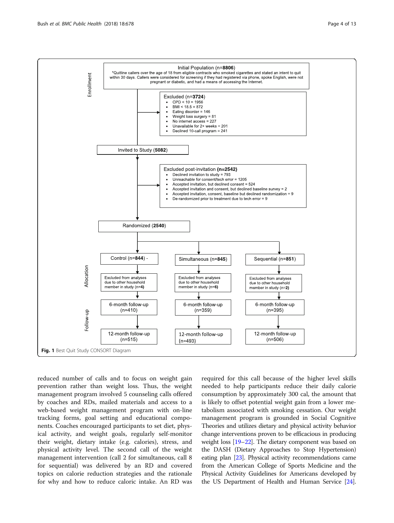<span id="page-3-0"></span>

reduced number of calls and to focus on weight gain prevention rather than weight loss. Thus, the weight management program involved 5 counseling calls offered by coaches and RDs, mailed materials and access to a web-based weight management program with on-line tracking forms, goal setting and educational components. Coaches encouraged participants to set diet, physical activity, and weight goals, regularly self-monitor their weight, dietary intake (e.g. calories), stress, and physical activity level. The second call of the weight management intervention (call 2 for simultaneous, call 8 for sequential) was delivered by an RD and covered topics on calorie reduction strategies and the rationale for why and how to reduce caloric intake. An RD was required for this call because of the higher level skills needed to help participants reduce their daily calorie consumption by approximately 300 cal, the amount that is likely to offset potential weight gain from a lower metabolism associated with smoking cessation. Our weight management program is grounded in Social Cognitive Theories and utilizes dietary and physical activity behavior change interventions proven to be efficacious in producing weight loss [[19](#page-11-0)–[22\]](#page-11-0). The dietary component was based on the DASH (Dietary Approaches to Stop Hypertension) eating plan [\[23\]](#page-11-0). Physical activity recommendations came from the American College of Sports Medicine and the Physical Activity Guidelines for Americans developed by the US Department of Health and Human Service [[24](#page-11-0)].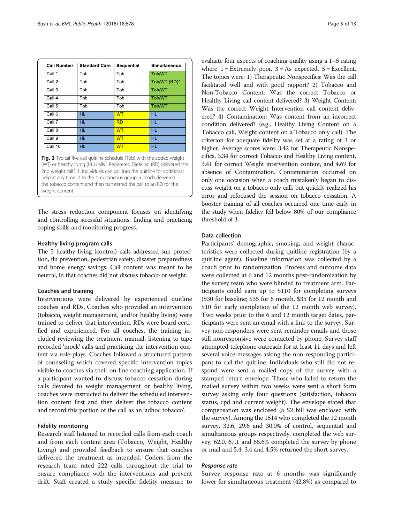<span id="page-4-0"></span>

| <b>Call Number</b> | <b>Standard Care</b> | Sequential | <b>Simultaneous</b> |
|--------------------|----------------------|------------|---------------------|
| Call 1             | Tob                  | Tob        | Tob/WT              |
| Call 2             | Tob                  | Tob        | Tob/WT (RD)*        |
| Call 3             | Tob                  | Tob        | Tob/WT              |
| Call 4             | Tob                  | Tob        | Tob/WT              |
| Call 5             | Tob                  | Tob        | Tob/WT              |
| Call 6             | HL.                  | <b>WT</b>  | <b>HL</b>           |
| Call 7             | <b>HL</b>            | <b>RD</b>  | <b>HL</b>           |
| Call 8             | HL.                  | <b>WT</b>  | <b>HL</b>           |
| Call 9             | HL.                  | <b>WT</b>  | <b>HL</b>           |
| Call 10            | <b>HL</b>            | <b>WT</b>  | <b>HL</b>           |

Fig. 2 Typical five-call quitline schedule (Tob) with the added weight (WT) or healthy living (HL) calls<sup>1</sup>. Registered Dietician (RD) delivered the 2nd weight call<sup>2</sup>. 1. Individuals can call into the quitline for additional help at any time. 2. In the simultaneous group, a coach delivered the tobacco content and then transferred the call to an RD for the weight content

The stress reduction component focuses on identifying and controlling stressful situations, finding and practicing coping skills and monitoring progress.

## Healthy living program calls

The 5 healthy living (control) calls addressed sun protection, flu prevention, pedestrian safety, disaster preparedness and home energy savings. Call content was meant to be neutral, in that coaches did not discuss tobacco or weight.

## Coaches and training

Interventions were delivered by experienced quitline coaches and RDs. Coaches who provided an intervention (tobacco, weight management, and/or healthy living) were trained to deliver that intervention. RDs were board certified and experienced. For all coaches, the training included reviewing the treatment manual, listening to tape recorded 'mock' calls and practicing the intervention content via role-plays. Coaches followed a structured pattern of counseling which covered specific intervention topics visible to coaches via their on-line coaching application. If a participant wanted to discuss tobacco cessation during calls devoted to weight management or healthy living, coaches were instructed to deliver the scheduled intervention content first and then deliver the tobacco content and record this portion of the call as an 'adhoc tobacco'.

# Fidelity monitoring

Research staff listened to recorded calls from each coach and from each content area (Tobacco, Weight, Healthy Living) and provided feedback to ensure that coaches delivered the treatment as intended. Coders from the research team rated 222 calls throughout the trial to ensure compliance with the interventions and prevent drift. Staff created a study specific fidelity measure to

evaluate four aspects of coaching quality using a 1–5 rating where  $1 =$  Extremely poor,  $3 =$  As expected,  $5 =$  Excellent. The topics were: 1) Therapeutic Nonspecifics: Was the call facilitated well and with good rapport? 2) Tobacco and Non-Tobacco Content: Was the correct Tobacco or Healthy Living call content delivered? 3) Weight Content: Was the correct Weight Intervention call content delivered? 4) Contamination: Was content from an incorrect condition delivered? (e.g., Healthy Living Content on a Tobacco call, Weight content on a Tobacco only call). The criterion for adequate fidelity was set at a rating of 3 or higher. Average scores were: 3.42 for Therapeutic Nonspecifics, 3.34 for correct Tobacco and Healthy Living content, 3.41 for correct Weight intervention content, and 4.69 for absence of Contamination. Contamination occurred on only one occasion when a coach mistakenly began to discuss weight on a tobacco only call, but quickly realized his error and refocused the session on tobacco cessation. A booster training of all coaches occurred one time early in the study when fidelity fell below 80% of our compliance threshold of 3.

## Data collection

Participants' demographic, smoking, and weight characteristics were collected during quitline registration (by a quitline agent). Baseline information was collected by a coach prior to randomization. Process and outcome data were collected at 6 and 12 months post-randomization by the survey team who were blinded to treatment arm. Participants could earn up to \$110 for completing surveys (\$30 for baseline; \$35 for 6 month, \$35 for 12 month and \$10 for early completion of the 12 month web survey). Two weeks prior to the 6 and 12 month target dates, participants were sent an email with a link to the survey. Survey non-responders were sent reminder emails and those still nonresponsive were contacted by phone. Survey staff attempted telephone outreach for at least 11 days and left several voice messages asking the non-responding participant to call the quitline. Individuals who still did not respond were sent a mailed copy of the survey with a stamped return envelope. Those who failed to return the mailed survey within two weeks were sent a short form survey asking only four questions (satisfaction, tobacco status, cpd and current weight). The envelope stated that compensation was enclosed (a \$2 bill was enclosed with the survey). Among the 1514 who completed the 12 month survey, 32.6, 29.6 and 30.0% of control, sequential and simultaneous groups respectively, completed the web survey; 62.0, 67.1 and 65.6% completed the survey by phone or mail and 5.4, 3.4 and 4.5% returned the short survey.

## Response rate

Survey response rate at 6 months was significantly lower for simultaneous treatment (42.8%) as compared to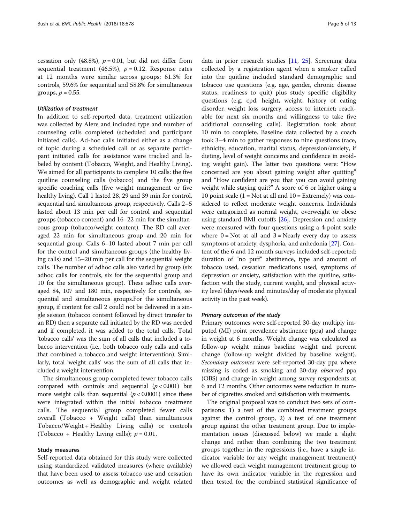cessation only (48.8%),  $p = 0.01$ , but did not differ from sequential treatment (46.5%),  $p = 0.12$ . Response rates at 12 months were similar across groups; 61.3% for controls, 59.6% for sequential and 58.8% for simultaneous groups,  $p = 0.55$ .

# Utilization of treatment

In addition to self-reported data, treatment utilization was collected by Alere and included type and number of counseling calls completed (scheduled and participant initiated calls). Ad-hoc calls initiated either as a change of topic during a scheduled call or as separate participant initiated calls for assistance were tracked and labeled by content (Tobacco, Weight, and Healthy Living). We aimed for all participants to complete 10 calls: the five quitline counseling calls (tobacco) and the five group specific coaching calls (five weight management or five healthy living). Call 1 lasted 28, 29 and 39 min for control, sequential and simultaneous group, respectively. Calls 2–5 lasted about 13 min per call for control and sequential groups (tobacco content) and 16–22 min for the simultaneous group (tobacco/weight content). The RD call averaged 22 min for simultaneous group and 20 min for sequential group. Calls 6–10 lasted about 7 min per call for the control and simultaneous groups (the healthy living calls) and 15–20 min per call for the sequential weight calls. The number of adhoc calls also varied by group (six adhoc calls for controls, six for the sequential group and 10 for the simultaneous group). These adhoc calls averaged 84, 107 and 180 min, respectively for controls, sequential and simultaneous groups.For the simultaneous group, if content for call 2 could not be delivered in a single session (tobacco content followed by direct transfer to an RD) then a separate call initiated by the RD was needed and if completed, it was added to the total calls. Total 'tobacco calls' was the sum of all calls that included a tobacco intervention (i.e., both tobacco only calls and calls that combined a tobacco and weight intervention). Similarly, total 'weight calls' was the sum of all calls that included a weight intervention.

The simultaneous group completed fewer tobacco calls compared with controls and sequential  $(p < 0.001)$  but more weight calls than sequential  $(p < 0.0001)$  since these were integrated within the initial tobacco treatment calls. The sequential group completed fewer calls overall (Tobacco + Weight calls) than simultaneous Tobacco/Weight + Healthy Living calls) or controls (Tobacco + Healthy Living calls);  $p = 0.01$ .

# Study measures

Self-reported data obtained for this study were collected using standardized validated measures (where available) that have been used to assess tobacco use and cessation outcomes as well as demographic and weight related

data in prior research studies [[11,](#page-11-0) [25](#page-11-0)]. Screening data collected by a registration agent when a smoker called into the quitline included standard demographic and tobacco use questions (e.g. age, gender, chronic disease status, readiness to quit) plus study specific eligibility questions (e.g. cpd, height, weight, history of eating disorder, weight loss surgery, access to internet; reachable for next six months and willingness to take five additional counseling calls). Registration took about 10 min to complete. Baseline data collected by a coach took 3–4 min to gather responses to nine questions (race, ethnicity, education, marital status, depression/anxiety, if dieting, level of weight concerns and confidence in avoiding weight gain). The latter two questions were: "How concerned are you about gaining weight after quitting" and "How confident are you that you can avoid gaining weight while staying quit?" A score of 6 or higher using a 10 point scale  $(1 = Not at all and 10 = Extremely)$  was considered to reflect moderate weight concerns. Individuals were categorized as normal weight, overweight or obese using standard BMI cutoffs [\[26\]](#page-11-0). Depression and anxiety were measured with four questions using a 4-point scale where  $0 = Not$  at all and  $3 = Nearly$  every day to assess symptoms of anxiety, dysphoria, and anhedonia [[27](#page-11-0)]. Content of the 6 and 12 month surveys included self-reported: duration of "no puff" abstinence, type and amount of tobacco used, cessation medications used, symptoms of depression or anxiety, satisfaction with the quitline, satisfaction with the study, current weight, and physical activity level (days/week and minutes/day of moderate physical activity in the past week).

## Primary outcomes of the study

Primary outcomes were self-reported 30-day multiply imputed (MI) point prevalence abstinence (ppa) and change in weight at 6 months. Weight change was calculated as follow-up weight minus baseline weight and percent change (follow-up weight divided by baseline weight). Secondary outcomes were self-reported 30-day ppa where missing is coded as smoking and 30-day observed ppa (OBS) and change in weight among survey respondents at 6 and 12 months. Other outcomes were reduction in number of cigarettes smoked and satisfaction with treatments.

The original proposal was to conduct two sets of comparisons: 1) a test of the combined treatment groups against the control group, 2) a test of one treatment group against the other treatment group. Due to implementation issues (discussed below) we made a slight change and rather than combining the two treatment groups together in the regressions (i.e., have a single indicator variable for any weight management treatment) we allowed each weight management treatment group to have its own indicator variable in the regression and then tested for the combined statistical significance of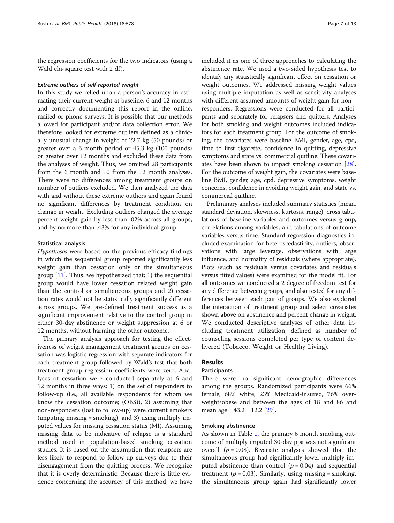the regression coefficients for the two indicators (using a Wald chi-square test with 2 df).

#### Extreme outliers of self-reported weight

In this study we relied upon a person's accuracy in estimating their current weight at baseline, 6 and 12 months and correctly documenting this report in the online, mailed or phone surveys. It is possible that our methods allowed for participant and/or data collection error. We therefore looked for extreme outliers defined as a clinically unusual change in weight of 22.7 kg (50 pounds) or greater over a 6 month period or 45.3 kg (100 pounds) or greater over 12 months and excluded these data from the analyses of weight. Thus, we omitted 28 participants from the 6 month and 10 from the 12 month analyses. There were no differences among treatment groups on number of outliers excluded. We then analyzed the data with and without these extreme outliers and again found no significant differences by treatment condition on change in weight. Excluding outliers changed the average percent weight gain by less than .02% across all groups, and by no more than .43% for any individual group.

#### Statistical analysis

Hypotheses were based on the previous efficacy findings in which the sequential group reported significantly less weight gain than cessation only or the simultaneous group  $[11]$  $[11]$ . Thus, we hypothesized that: 1) the sequential group would have lower cessation related weight gain than the control or simultaneous groups and 2) cessation rates would not be statistically significantly different across groups. We pre-defined treatment success as a significant improvement relative to the control group in either 30-day abstinence or weight suppression at 6 or 12 months, without harming the other outcome.

The primary analysis approach for testing the effectiveness of weight management treatment groups on cessation was logistic regression with separate indicators for each treatment group followed by Wald's test that both treatment group regression coefficients were zero. Analyses of cessation were conducted separately at 6 and 12 months in three ways: 1) on the set of responders to follow-up (i.e., all available respondents for whom we know the cessation outcome; (OBS)), 2) assuming that non-responders (lost to follow-up) were current smokers (imputing missing = smoking), and 3) using multiply imputed values for missing cessation status (MI). Assuming missing data to be indicative of relapse is a standard method used in population-based smoking cessation studies. It is based on the assumption that relapsers are less likely to respond to follow-up surveys due to their disengagement from the quitting process. We recognize that it is overly deterministic. Because there is little evidence concerning the accuracy of this method, we have included it as one of three approaches to calculating the abstinence rate. We used a two-sided hypothesis test to identify any statistically significant effect on cessation or weight outcomes. We addressed missing weight values using multiple imputation as well as sensitivity analyses with different assumed amounts of weight gain for non- responders. Regressions were conducted for all participants and separately for relapsers and quitters. Analyses for both smoking and weight outcomes included indicators for each treatment group. For the outcome of smoking, the covariates were baseline BMI, gender, age, cpd, time to first cigarette, confidence in quitting, depressive symptoms and state vs. commercial quitline. These covariates have been shown to impact smoking cessation [[28](#page-11-0)]. For the outcome of weight gain, the covariates were baseline BMI, gender, age, cpd, depressive symptoms, weight concerns, confidence in avoiding weight gain, and state vs. commercial quitline.

Preliminary analyses included summary statistics (mean, standard deviation, skewness, kurtosis, range), cross tabulations of baseline variables and outcomes versus group, correlations among variables, and tabulations of outcome variables versus time. Standard regression diagnostics included examination for heteroscedasticity, outliers, observations with large leverage, observations with large influence, and normality of residuals (where appropriate). Plots (such as residuals versus covariates and residuals versus fitted values) were examined for the model fit. For all outcomes we conducted a 2 degree of freedom test for any difference between groups, and also tested for any differences between each pair of groups. We also explored the interaction of treatment group and select covariates shown above on abstinence and percent change in weight. We conducted descriptive analyses of other data including treatment utilization, defined as number of counseling sessions completed per type of content delivered (Tobacco, Weight or Healthy Living).

# Results

## **Participants**

There were no significant demographic differences among the groups. Randomized participants were 66% female, 68% white, 23% Medicaid-insured, 76% overweight/obese and between the ages of 18 and 86 and mean age =  $43.2 \pm 12.2$  [[29](#page-12-0)].

# Smoking abstinence

As shown in Table [1](#page-7-0), the primary 6 month smoking outcome of multiply imputed 30-day ppa was not significant overall ( $p = 0.08$ ). Bivariate analyses showed that the simultaneous group had significantly lower multiply imputed abstinence than control ( $p = 0.04$ ) and sequential treatment ( $p = 0.03$ ). Similarly, using missing = smoking, the simultaneous group again had significantly lower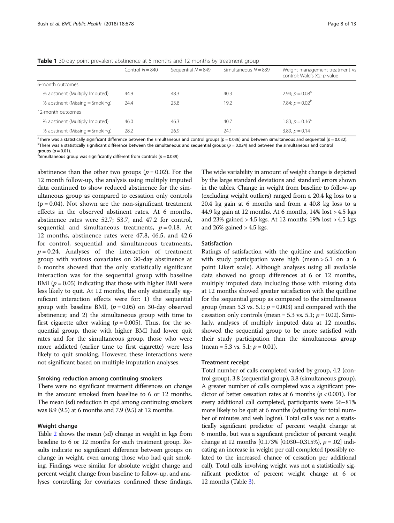<span id="page-7-0"></span>Table 1 30-day point prevalent abstinence at 6 months and 12 months by treatment group

|                                 | Control $N = 840$ | Sequential $N = 849$ | Simultaneous $N = 839$ | Weight management treatment vs<br>control: Wald's X2; p-value |
|---------------------------------|-------------------|----------------------|------------------------|---------------------------------------------------------------|
| 6-month outcomes                |                   |                      |                        |                                                               |
| % abstinent (Multiply Imputed)  | 44.9              | 48.3                 | 40.3                   | 2.94; $p = 0.08^a$                                            |
| % abstinent (Missing = Smoking) | 24.4              | 23.8                 | 19.2                   | 7.84; $p = 0.02^b$                                            |
| 12-month outcomes               |                   |                      |                        |                                                               |
| % abstinent (Multiply Imputed)  | 46.0              | 46.3                 | 40.7                   | 1.83, $p = 0.16^{\circ}$                                      |
| % abstinent (Missing = Smoking) | 28.2              | 26.9                 | 24.1                   | 3.89, $p = 0.14$                                              |

There was a statistically significant difference between the simultaneous and control groups ( $p = 0.036$ ) and between simultaneous and sequential ( $p = 0.032$ ). By there was a statistically significant difference between t  $b$ There was a statistically significant difference between the simultaneous and sequential groups ( $p = 0.024$ ) and between the simultaneous and control groups  $(p = 0.01)$ 

<sup>c</sup>Simultaneous group was significantly different from controls ( $p = 0.039$ )

abstinence than the other two groups ( $p = 0.02$ ). For the 12 month follow-up, the analysis using multiply imputed data continued to show reduced abstinence for the simultaneous group as compared to cessation only controls  $(p = 0.04)$ . Not shown are the non-significant treatment effects in the observed abstinent rates. At 6 months, abstinence rates were 52.7; 53.7, and 47.2 for control, sequential and simultaneous treatments,  $p = 0.18$ . At 12 months, abstinence rates were 47.8, 46.5, and 42.6 for control, sequential and simultaneous treatments,  $p = 0.24$ . Analyses of the interaction of treatment group with various covariates on 30-day abstinence at 6 months showed that the only statistically significant interaction was for the sequential group with baseline BMI ( $p = 0.05$ ) indicating that those with higher BMI were less likely to quit. At 12 months, the only statistically significant interaction effects were for: 1) the sequential group with baseline BMI,  $(p = 0.05)$  on 30-day observed abstinence; and 2) the simultaneous group with time to first cigarette after waking ( $p = 0.005$ ). Thus, for the sequential group, those with higher BMI had lower quit rates and for the simultaneous group, those who were more addicted (earlier time to first cigarette) were less likely to quit smoking. However, these interactions were not significant based on multiple imputation analyses.

#### Smoking reduction among continuing smokers

There were no significant treatment differences on change in the amount smoked from baseline to 6 or 12 months. The mean (sd) reduction in cpd among continuing smokers was 8.9 (9.5) at 6 months and 7.9 (9.5) at 12 months.

## Weight change

Table [2](#page-8-0) shows the mean (sd) change in weight in kgs from baseline to 6 or 12 months for each treatment group. Results indicate no significant difference between groups on change in weight, even among those who had quit smoking. Findings were similar for absolute weight change and percent weight change from baseline to follow-up, and analyses controlling for covariates confirmed these findings.

The wide variability in amount of weight change is depicted by the large standard deviations and standard errors shown in the tables. Change in weight from baseline to follow-up (excluding weight outliers) ranged from a 20.4 kg loss to a 20.4 kg gain at 6 months and from a 40.8 kg loss to a 44.9 kg gain at 12 months. At 6 months,  $14\%$  lost  $> 4.5$  kgs and 23% gained > 4.5 kgs. At 12 months 19% lost > 4.5 kgs and  $26\%$  gained  $> 4.5$  kgs.

#### Satisfaction

Ratings of satisfaction with the quitline and satisfaction with study participation were high (mean > 5.1 on a 6 point Likert scale). Although analyses using all available data showed no group differences at 6 or 12 months, multiply imputed data including those with missing data at 12 months showed greater satisfaction with the quitline for the sequential group as compared to the simultaneous group (mean 5.3 vs. 5.1;  $p = 0.003$ ) and compared with the cessation only controls (mean = 5.3 vs. 5.1;  $p = 0.02$ ). Similarly, analyses of multiply imputed data at 12 months, showed the sequential group to be more satisfied with their study participation than the simultaneous group  $(\text{mean} = 5.3 \text{ vs. } 5.1; p = 0.01).$ 

## Treatment receipt

Total number of calls completed varied by group, 4.2 (control group), 3.8 (sequential group), 3.8 (simultaneous group). A greater number of calls completed was a significant predictor of better cessation rates at 6 months ( $p < 0.001$ ). For every additional call completed, participants were 56–81% more likely to be quit at 6 months (adjusting for total number of minutes and web logins). Total calls was not a statistically significant predictor of percent weight change at 6 months, but was a significant predictor of percent weight change at 12 months [0.173% [0.030–0.315%),  $p = .02$ ] indicating an increase in weight per call completed (possibly related to the increased chance of cessation per additional call). Total calls involving weight was not a statistically significant predictor of percent weight change at 6 or 12 months (Table [3](#page-8-0)).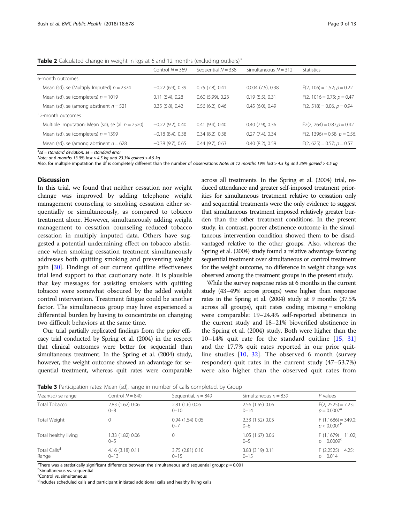<span id="page-8-0"></span>Table 2 Calculated change in weight in kgs at 6 and 12 months (excluding outliers)<sup>a</sup>

|                                                      | Control $N = 369$   | Sequential $N = 338$    | Simultaneous $N = 312$   | <b>Statistics</b>                  |
|------------------------------------------------------|---------------------|-------------------------|--------------------------|------------------------------------|
| 6-month outcomes                                     |                     |                         |                          |                                    |
| Mean (sd), se (Multiply Imputed) $n = 2374$          | $-0.22$ (6.9), 0.39 | $0.75$ $(7.8)$ , $0.41$ | $0.004$ $(7.5)$ , $0.38$ | $F(2, 106) = 1.52; p = 0.22$       |
| Mean (sd), se (completers) $n = 1019$                | 0.11(5.4), 0.28     | $0.60$ (5.99), 0.23     | 0.19(5.5), 0.31          | $F(2, 1016 = 0.75; p = 0.47)$      |
| Mean (sd), se (among abstinent $n = 521$             | 0.35(5.8), 0.42     | 0.56(6.2), 0.46         | 0.45(6.0), 0.49          | $F(2, 518) = 0.06$ , $p = 0.94$    |
| 12-month outcomes                                    |                     |                         |                          |                                    |
| Multiple imputation: Mean (sd), se (all $n = 2520$ ) | $-0.22$ (9.2), 0.40 | 0.41(9.4), 0.40         | 0.40(7.9), 0.36          | $F2(2, 264) = 0.87$ ; $p = 0.42$   |
| Mean (sd), se (completers) $n = 1399$                | $-0.18$ (8.4), 0.38 | 0.34(8.2), 0.38         | 0.27(7.4), 0.34          | $F(2, 1396) = 0.58$ , $p = 0.56$ . |
| Mean (sd), se (among abstinent $n = 628$             | $-0.38$ (9.7), 0.65 | $0.44$ (9.7), $0.63$    | 0.40(8.2), 0.59          | $F(2, 625) = 0.57; p = 0.57$       |

<sup>a</sup>sd = standard deviation; se = standard error

Note: at 6 months 13.9% lost > 4.5 kg and 23.3% gained > 4.5 kg

Also, for multiple imputation the df is completely different than the number of observations Note: at 12 months 19% lost > 4.5 kg and 26% gained > 4.5 kg

## **Discussion**

In this trial, we found that neither cessation nor weight change was improved by adding telephone weight management counseling to smoking cessation either sequentially or simultaneously, as compared to tobacco treatment alone. However, simultaneously adding weight management to cessation counseling reduced tobacco cessation in multiply imputed data. Others have suggested a potential undermining effect on tobacco abstinence when smoking cessation treatment simultaneously addresses both quitting smoking and preventing weight gain [\[30\]](#page-12-0). Findings of our current quitline effectiveness trial lend support to that cautionary note. It is plausible that key messages for assisting smokers with quitting tobacco were somewhat obscured by the added weight control intervention. Treatment fatigue could be another factor. The simultaneous group may have experienced a differential burden by having to concentrate on changing two difficult behaviors at the same time.

Our trial partially replicated findings from the prior efficacy trial conducted by Spring et al. (2004) in the respect that clinical outcomes were better for sequential than simultaneous treatment. In the Spring et al. (2004) study, however, the weight outcome showed an advantage for sequential treatment, whereas quit rates were comparable across all treatments. In the Spring et al. (2004) trial, reduced attendance and greater self-imposed treatment priorities for simultaneous treatment relative to cessation only and sequential treatments were the only evidence to suggest that simultaneous treatment imposed relatively greater burden than the other treatment conditions. In the present study, in contrast, poorer abstinence outcome in the simultaneous intervention condition showed them to be disadvantaged relative to the other groups. Also, whereas the Spring et al. (2004) study found a relative advantage favoring sequential treatment over simultaneous or control treatment for the weight outcome, no difference in weight change was observed among the treatment groups in the present study.

While the survey response rates at 6 months in the current study (43–49% across groups) were higher than response rates in the Spring et al. (2004) study at 9 months (37.5% across all groups), quit rates coding missing = smoking were comparable: 19–24.4% self-reported abstinence in the current study and 18–21% bioverified abstinence in the Spring et al. (2004) study. Both were higher than the 10–14% quit rate for the standard quitline [\[15](#page-11-0), [31](#page-12-0)] and the 17.7% quit rates reported in our prior quitline studies [[10,](#page-11-0) [32](#page-12-0)]. The observed 6 month (survey responder) quit rates in the current study (47–53.7%) were also higher than the observed quit rates from

**Table 3** Participation rates: Mean (sd), range in number of calls completed, by Group

| Mean(sd) se range                 | Control $N = 840$            | Sequential, $n = 849$        | Simultaneous $n = 839$        | $P$ values                                         |  |
|-----------------------------------|------------------------------|------------------------------|-------------------------------|----------------------------------------------------|--|
| Total Tobacco                     | 2.83 (1.62) 0.06<br>$0 - 8$  | 2.81(1.6)0.06<br>$0 - 10$    | 2.56 (1.65) 0.06<br>$() - 14$ | $F(2, 2525) = 7.23$ ;<br>$p = 0.0007$ <sup>a</sup> |  |
| Total Weight                      |                              | 0.94(1.54)0.05<br>$0 - 7$    | 2.33 (1.52) 0.05<br>0-6       | $F(1,1686) = 349.0$<br>$p < 0.0001^{\circ}$        |  |
| Total healthy living              | 1.33 (1.82) 0.06<br>$0 - 5$  |                              | 1.05 (1.67) 0.06<br>$0 - 5$   | $F(1,1679) = 11.02$<br>$p = 0.0009^{\circ}$        |  |
| Total Calls <sup>d</sup><br>Range | 4.16 (3.18) 0.11<br>$0 - 13$ | 3.75 (2.81) 0.10<br>$0 - 15$ | 3.83 (3.19) 0.11<br>$0 - 15$  | $F(2,2525) = 4.25$ ;<br>$p = 0.014$                |  |
|                                   |                              |                              |                               |                                                    |  |

<sup>a</sup>There was a statistically significant difference between the simultaneous and sequential group;  $p = 0.001$ <br><sup>bei</sup>multaneous ys sequential

<sup>b</sup>Simultaneous vs. sequential

<sup>c</sup>Control vs. simultaneous

<sup>d</sup>Includes scheduled calls and participant initiated additional calls and healthy living calls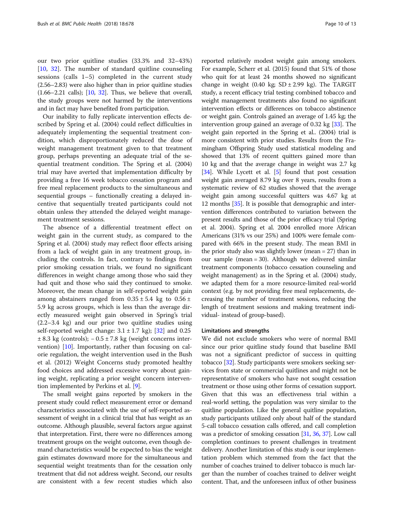our two prior quitline studies (33.3% and 32–43%) [[10,](#page-11-0) [32\]](#page-12-0). The number of standard quitline counseling sessions (calls 1–5) completed in the current study (2.56–2.83) were also higher than in prior quitline studies (1.66–2.21 calls); [[10](#page-11-0), [32](#page-12-0)]. Thus, we believe that overall, the study groups were not harmed by the interventions and in fact may have benefited from participation.

Our inability to fully replicate intervention effects described by Spring et al. (2004) could reflect difficulties in adequately implementing the sequential treatment condition, which disproportionately reduced the dose of weight management treatment given to that treatment group, perhaps preventing an adequate trial of the sequential treatment condition. The Spring et al. (2004) trial may have averted that implementation difficulty by providing a free 16 week tobacco cessation program and free meal replacement products to the simultaneous and sequential groups – functionally creating a delayed incentive that sequentially treated participants could not obtain unless they attended the delayed weight management treatment sessions.

The absence of a differential treatment effect on weight gain in the current study, as compared to the Spring et al. (2004) study may reflect floor effects arising from a lack of weight gain in any treatment group, including the controls. In fact, contrary to findings from prior smoking cessation trials, we found no significant differences in weight change among those who said they had quit and those who said they continued to smoke. Moreover, the mean change in self-reported weight gain among abstainers ranged from  $0.35 \pm 5.4$  kg to  $0.56 \pm 1.5$ 5.9 kg across groups, which is less than the average directly measured weight gain observed in Spring's trial (2.2–3.4 kg) and our prior two quitline studies using self-reported weight change:  $3.1 \pm 1.7$  kg); [\[32](#page-12-0)] and 0.25  $± 8.3 kg (controls); -0.5 ± 7.8 kg (weight concerns inter$ vention) [[10](#page-11-0)]. Importantly, rather than focusing on calorie regulation, the weight intervention used in the Bush et al. (2012) Weight Concerns study promoted healthy food choices and addressed excessive worry about gaining weight, replicating a prior weight concern intervention implemented by Perkins et al. [[9\]](#page-11-0).

The small weight gains reported by smokers in the present study could reflect measurement error or demand characteristics associated with the use of self-reported assessment of weight in a clinical trial that has weight as an outcome. Although plausible, several factors argue against that interpretation. First, there were no differences among treatment groups on the weight outcome, even though demand characteristics would be expected to bias the weight gain estimates downward more for the simultaneous and sequential weight treatments than for the cessation only treatment that did not address weight. Second, our results are consistent with a few recent studies which also

reported relatively modest weight gain among smokers. For example, Scherr et al. (2015) found that 51% of those who quit for at least 24 months showed no significant change in weight (0.40 kg;  $SD \pm 2.99$  kg). The TARGIT study, a recent efficacy trial testing combined tobacco and weight management treatments also found no significant intervention effects or differences on tobacco abstinence or weight gain. Controls gained an average of 1.45 kg; the intervention group gained an average of 0.32 kg [[33](#page-12-0)]. The weight gain reported in the Spring et al.. (2004) trial is more consistent with prior studies. Results from the Framingham Offspring Study used statistical modeling and showed that 13% of recent quitters gained more than 10 kg and that the average change in weight was 2.7 kg [[34](#page-12-0)]. While Lycett et al. [\[5\]](#page-11-0) found that post cessation weight gain averaged 8.79 kg over 8 years, results from a systematic review of 62 studies showed that the average weight gain among successful quitters was 4.67 kg at 12 months [[35\]](#page-12-0). It is possible that demographic and intervention differences contributed to variation between the present results and those of the prior efficacy trial (Spring et al. 2004). Spring et al. 2004 enrolled more African Americans (31% vs our 25%) and 100% were female compared with 66% in the present study. The mean BMI in the prior study also was slightly lower (mean = 27) than in our sample (mean = 30). Although we delivered similar treatment components (tobacco cessation counseling and weight management) as in the Spring et al. (2004) study, we adapted them for a more resource-limited real-world context (e.g. by not providing free meal replacements, decreasing the number of treatment sessions, reducing the length of treatment sessions and making treatment individual- instead of group-based).

### Limitations and strengths

We did not exclude smokers who were of normal BMI since our prior quitline study found that baseline BMI was not a significant predictor of success in quitting tobacco [[32](#page-12-0)]. Study participants were smokers seeking services from state or commercial quitlines and might not be representative of smokers who have not sought cessation treatment or those using other forms of cessation support. Given that this was an effectiveness trial within a real-world setting, the population was very similar to the quitline population. Like the general quitline population, study participants utilized only about half of the standard 5-call tobacco cessation calls offered, and call completion was a predictor of smoking cessation [\[31,](#page-12-0) [36,](#page-12-0) [37\]](#page-12-0). Low call completion continues to present challenges in treatment delivery. Another limitation of this study is our implementation problem which stemmed from the fact that the number of coaches trained to deliver tobacco is much larger than the number of coaches trained to deliver weight content. That, and the unforeseen influx of other business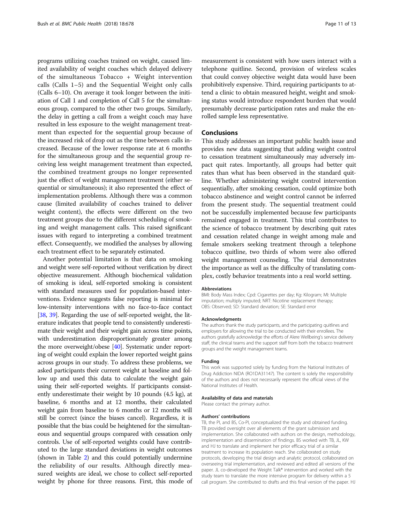programs utilizing coaches trained on weight, caused limited availability of weight coaches which delayed delivery of the simultaneous Tobacco + Weight intervention calls (Calls 1–5) and the Sequential Weight only calls (Calls 6–10). On average it took longer between the initiation of Call 1 and completion of Call 5 for the simultaneous group, compared to the other two groups. Similarly, the delay in getting a call from a weight coach may have resulted in less exposure to the weight management treatment than expected for the sequential group because of the increased risk of drop out as the time between calls increased. Because of the lower response rate at 6 months for the simultaneous group and the sequential group receiving less weight management treatment than expected, the combined treatment groups no longer represented just the effect of weight management treatment (either sequential or simultaneous); it also represented the effect of implementation problems. Although there was a common cause (limited availability of coaches trained to deliver weight content), the effects were different on the two treatment groups due to the different scheduling of smoking and weight management calls. This raised significant issues with regard to interpreting a combined treatment effect. Consequently, we modified the analyses by allowing each treatment effect to be separately estimated.

Another potential limitation is that data on smoking and weight were self-reported without verification by direct objective measurement. Although biochemical validation of smoking is ideal, self-reported smoking is consistent with standard measures used for population-based interventions. Evidence suggests false reporting is minimal for low-intensity interventions with no face-to-face contact [[38](#page-12-0), [39](#page-12-0)]. Regarding the use of self-reported weight, the literature indicates that people tend to consistently underestimate their weight and their weight gain across time points, with underestimation disproportionately greater among the more overweight/obese [\[40\]](#page-12-0). Systematic under reporting of weight could explain the lower reported weight gains across groups in our study. To address these problems, we asked participants their current weight at baseline and follow up and used this data to calculate the weight gain using their self-reported weights. If participants consistently underestimate their weight by 10 pounds (4.5 kg), at baseline, 6 months and at 12 months, their calculated weight gain from baseline to 6 months or 12 months will still be correct (since the biases cancel). Regardless, it is possible that the bias could be heightened for the simultaneous and sequential groups compared with cessation only controls. Use of self-reported weights could have contributed to the large standard deviations in weight outcomes (shown in Table [2\)](#page-8-0) and this could potentially undermine the reliability of our results. Although directly measured weights are ideal, we chose to collect self-reported weight by phone for three reasons. First, this mode of measurement is consistent with how users interact with a telephone quitline. Second, provision of wireless scales that could convey objective weight data would have been prohibitively expensive. Third, requiring participants to attend a clinic to obtain measured height, weight and smoking status would introduce respondent burden that would presumably decrease participation rates and make the enrolled sample less representative.

# Conclusions

This study addresses an important public health issue and provides new data suggesting that adding weight control to cessation treatment simultaneously may adversely impact quit rates. Importantly, all groups had better quit rates than what has been observed in the standard quitline. Whether administering weight control intervention sequentially, after smoking cessation, could optimize both tobacco abstinence and weight control cannot be inferred from the present study. The sequential treatment could not be successfully implemented because few participants remained engaged in treatment. This trial contributes to the science of tobacco treatment by describing quit rates and cessation related change in weight among male and female smokers seeking treatment through a telephone tobacco quitline, two thirds of whom were also offered weight management counseling. The trial demonstrates the importance as well as the difficulty of translating complex, costly behavior treatments into a real world setting.

#### Abbreviations

BMI: Body Mass Index; Cpd: Cigarettes per day; Kg: Kilogram; MI: Multiple imputation; multiply imputed; NRT: Nicotine replacement therapy; OBS: Observed; SD: Standard deviation; SE: Standard error

#### Acknowledgments

The authors thank the study participants, and the participating quitlines and employers for allowing the trial to be conducted with their enrollees. The authors gratefully acknowledge the efforts of Alere Wellbeing's service delivery staff, the clinical teams and the support staff from both the tobacco treatment groups and the weight management teams.

#### Funding

This work was supported solely by funding from the National Institutes of Drug Addiction NIDA (RO1DA31147). The content is solely the responsibility of the authors and does not necessarily represent the official views of the National Institutes of Health.

#### Availability of data and materials

Please contact the primary author.

## Authors' contributions

TB, the PI, and BS, Co-PI, conceptualized the study and obtained funding. TB provided oversight over all elements of the grant submission and implementation. She collaborated with authors on the design, methodology, implementation and dissemination of findings. BS worked with TB, JL, KW and HJ to translate and implement her prior efficacy trial of a similar treatment to increase its population reach. She collaborated on study protocols, developing the trial design and analytic protocol, collaborated on overseeing trial implementation, and reviewed and edited all versions of the paper. JL co-developed the Weight Talk® intervention and worked with the study team to translate the more intensive program for delivery within a 5 call program. She contributed to drafts and this final version of the paper. HJ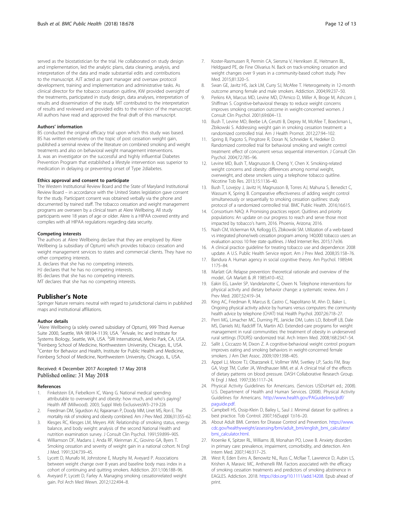<span id="page-11-0"></span>served as the biostatistician for the trial. He collaborated on study design and implementation, led the analytic plans, data cleaning, analysis, and interpretation of the data and made substantial edits and contributions to the manuscript. AJT acted as grant manager and oversaw protocol development, training and implementation and administrative tasks. As clinical director for the tobacco cessation quitline, KW provided oversight of the treatments, participated in study design, data analyses, interpretation of results and dissemination of the study. MT contributed to the interpretation of results and reviewed and provided edits to the revision of the manuscript. All authors have read and approved the final draft of this manuscript.

#### Authors' information

BS conducted the original efficacy trial upon which this study was based. BS has written extensively on the topic of post cessation weight gain, published a seminal review of the literature on combined smoking and weight treatments and also on behavioral weight management interventions. JL was an investigator on the successful and highly influential Diabetes Prevention Program that established a lifestyle intervention was superior to medication in delaying or preventing onset of Type 2diabetes.

#### Ethics approval and consent to participate

The Western Institutional Review Board and the State of Maryland Institutional Review Board – in accordance with the United States legislation gave consent for the study. Participant consent was obtained verbally via the phone and documented by trained staff. The tobacco cessation and weight management programs are overseen by a clinical team at Alere Wellbeing. All study participants were 18 years of age or older. Alere is a HIPAA covered entity and complies with all HIPAA regulations regarding data security.

## Competing interests

The authors at Alere Wellbeing declare that they are employed by Alere Wellbeing (a subsidiary of Optum) which provides tobacco cessation and weight management services to states and commercial clients. They have no other competing interests.

- JL declares that she has no competing interests.
- HJ declares that he has no competing interests.
- BS declares that she has no competing interests.
- MT declares that she has no competing interests.

# Publisher's Note

Springer Nature remains neutral with regard to jurisdictional claims in published maps and institutional affiliations.

#### Author details

<sup>1</sup> Alere Wellbeing (a solely owned subsidiary of Optum), 999 Third Avenue Suite 2000, Seattle, WA 98104-1139, USA. <sup>2</sup>Arivale, Inc and Institute for Systems Biology, Seattle, WA, USA. <sup>3</sup>SRI International, Menlo Park, CA, USA.<br><sup>4</sup>Eciphera School of Medicine, Nerthwestern University Chicago, IL USA. <sup>4</sup>Feinberg School of Medicine, Northwestern University, Chicago, IL, USA. <sup>5</sup>Center for Behavior and Health, Institute for Public Health and Medicine, Feinberg School of Medicine, Northwestern University, Chicago, IL, USA.

## Received: 4 December 2017 Accepted: 17 May 2018 Published online: 31 May 2018

#### References

- 1. Finkelstein EA, Fiebelkorn IC, Wang G. National medical spending attributable to overweight and obesity: how much, and who's paying? Health Aff (Millwood). 2003; Suppl Web Exclusives:W3–219-226
- 2. Freedman DM, Sigurdson AJ, Rajaraman P, Doody MM, Linet MS, Ron E. The mortality risk of smoking and obesity combined. Am J Prev Med. 2006;31:355–62.
- 3. Klesges RC, Klesges LM, Meyers AW. Relationship of smoking status, energy balance, and body weight: analysis of the second National Health and nutrition examination survey. J Consult Clin Psychol. 1991;59:899–905.
- 4. Williamson DF, Madans J, Anda RF, Kleinman JC, Giovino GA, Byers T. Smoking cessation and severity of weight gain in a national cohort. N Engl J Med. 1991;324:739–45.
- Lycett D, Munafo M, Johnstone E, Murphy M, Aveyard P. Associations between weight change over 8 years and baseline body mass index in a cohort of continuing and quitting smokers. Addiction. 2011;106:188–96.
- 6. Aveyard P, Lycett D, Farley A. Managing smoking cessationrelated weight gain. Pol Arch Med Wewn. 2012;122:494–8.
- 7. Koster-Rasmussen R, Permin CA, Siersma V, Henriksen JE, Heitmann BL, Heldgaard PE, de Fine Olivarius N. Back on track-smoking cessation and weight changes over 9 years in a community-based cohort study. Prev Med. 2015;81:320–5.
- 8. Swan GE, Javitz HS, Jack LM, Curry SJ, McAfee T. Heterogeneity in 12-month outcome among female and male smokers. Addiction. 2004;99:237–50.
- Perkins KA, Marcus MD, Levine MD, D'Amico D, Miller A, Broge M, Ashcom J, Shiffman S. Cognitive-behavioral therapy to reduce weight concerns improves smoking cessation outcome in weight-concerned women. J Consult Clin Psychol. 2001;69:604–13.
- 10. Bush T, Levine MD, Beebe LA, Cerutti B, Deprey M, McAfee T, Boeckman L, Zbikowski S. Addressing weight gain in smoking cessation treatment: a randomized controlled trial. Am J Health Promot. 2012;27:94–102.
- 11. Spring B, Pagoto S, Pingitore R, Doran N, Schneider K, Hedeker D. Randomized controlled trial for behavioral smoking and weight control treatment: effect of concurrent versus sequential intervention. J Consult Clin Psychol. 2004;72:785–96.
- 12. Levine MD, Bush T, Magnusson B, Cheng Y, Chen X. Smoking-related weight concerns and obesity: differences among normal weight, overweight, and obese smokers using a telephone tobacco quitline. Nicotine Tob Res. 2013;15:1136–40.
- 13. Bush T, Lovejoy J, Javitz H, Magnusson B, Torres AJ, Mahuna S, Benedict C, Wassum K, Spring B. Comparative effectiveness of adding weight control simultaneously or sequentially to smoking cessation quitlines: study protocol of a randomized controlled trial. BMC Public Health. 2016;16:615.
- 14. Consortium NAQ: A Promising practices report. Quitlines and priority populations: An update on our progress to reach and serve those most impacted by tobacco's harm, 2016. Phoenix, Arizona; 2016.
- 15. Nash CM, Vickerman KA, Kellogg ES, Zbikowski SM. Utilization of a web-based vs integrated phone/web cessation program among 140,000 tobacco users: an evaluation across 10 free state quitlines. J Med Internet Res. 2015;17:e36.
- 16. A clinical practice guideline for treating tobacco use and dependence: 2008 update. A U.S. Public Health Service report. Am J Prev Med. 2008;35:158–76.
- 17. Bandura A. Human agency in social cognitive theory. Am Psychol. 1989;44: 1175–84.
- 18. Marlatt GA: Relapse prevention: theoretical rationale and overview of the model.. GA Marlatt & JR 1985:410–452.
- 19. Eakin EG, Lawler SP, Vandelanotte C, Owen N. Telephone interventions for physical activity and dietary behavior change: a systematic review. Am J Prev Med. 2007;32:419–34.
- 20. King AC, Friedman R, Marcus B, Castro C, Napolitano M, Ahn D, Baker L. Ongoing physical activity advice by humans versus computers: the community health advice by telephone (CHAT) trial. Health Psychol. 2007;26:718–27.
- 21. Perri MG, Limacher MC, Durning PE, Janicke DM, Lutes LD, Bobroff LB, Dale MS, Daniels MJ, Radcliff TA, Martin AD. Extended-care programs for weight management in rural communities: the treatment of obesity in underserved rural settings (TOURS) randomized trial. Arch Intern Med. 2008;168:2347–54.
- 22. Sallit J, Ciccazzo M, Dixon Z. A cognitive-behavioral weight control program improves eating and smoking behaviors in weight-concerned female smokers. J Am Diet Assoc. 2009;109:1398–405.
- 23. Appel LJ, Moore TJ, Obarzanek E, Vollmer WM, Svetkey LP, Sacks FM, Bray GA, Vogt TM, Cutler JA, Windhauser MM, et al. A clinical trial of the effects of dietary patterns on blood pressure. DASH Collaborative Research Group. N Engl J Med. 1997;336:1117–24.
- 24. Physical Activity Guidelines for Americans. (Services USDoHaH ed.; 2008). U.S. Department of Health and Human Services. (2008). Physical Activity Guidelines for Americans. [http://www.health.gov/PAGuidelines/pdf/](http://www.health.gov/PAGuidelines/pdf/paguide.pdf) [paguide.pdf.](http://www.health.gov/PAGuidelines/pdf/paguide.pdf)
- 25. Campbell HS, Ossip-Klein D, Bailey L, Saul J. Minimal dataset for quitlines: a best practice. Tob Control. 2007;16(Suppl 1):i16–20.
- 26. About Adult BMI. Centers for Disease Control and Prevention. [https://www.](https://www.cdc.gov/healthyweight/assessing/bmi/adult_bmi/english_bmi_calculator/bmi_calculator.html) [cdc.gov/healthyweight/assessing/bmi/adult\\_bmi/english\\_bmi\\_calculator/](https://www.cdc.gov/healthyweight/assessing/bmi/adult_bmi/english_bmi_calculator/bmi_calculator.html) [bmi\\_calculator.html](https://www.cdc.gov/healthyweight/assessing/bmi/adult_bmi/english_bmi_calculator/bmi_calculator.html).
- 27. Kroenke K, Spitzer RL, Williams JB, Monahan PO, Lowe B. Anxiety disorders in primary care: prevalence, impairment, comorbidity, and detection. Ann Intern Med. 2007;146:317–25.
- 28. West R, Eden Evins A, Benowitz NL, Russ C, McRae T, Lawrence D, Aubin LS, Krishen A, Maravic MC, Anthenelli RM. Factors associated with the efficacy of smoking cessation treatments and predictors of smoking abstinence in EAGLES. Addiction. 2018. [https://doi.org/10.1111/add.14208.](https://doi.org/10.1111/add.14208) Epub ahead of print.